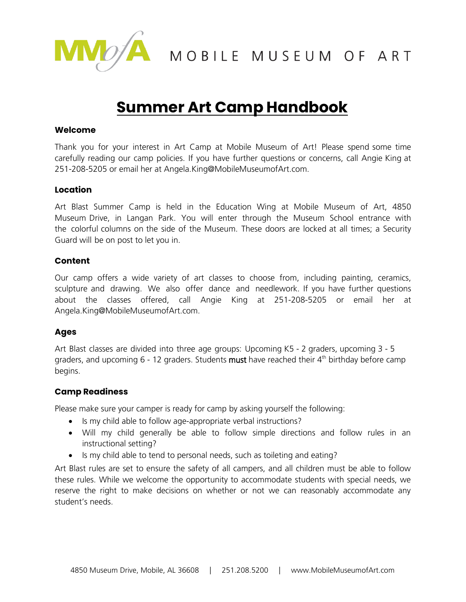

MOA MOBILE MUSEUM OF ART

# **Summer Art Camp Handbook**

#### **Welcome**

Thank you for your interest in Art Camp at Mobile Museum of Art! Please spend some time carefully reading our camp policies. If you have further questions or concerns, call Angie King at 251-208-5205 or email he[r at Angela.King@MobileM](mailto:kwood@cityofmobile.org)useumofArt.com.

## **Location**

Art Blast Summer Camp is held in the Education Wing at Mobile Museum of Art, 4850 Museum Drive, in Langan Park. You will enter through the Museum School entrance with the colorful columns on the side of the Museum. These doors are locked at all times; a Security Guard will be on post to let you in.

## **Content**

Our camp offers a wide variety of art classes to choose from, including painting, ceramics, sculpture and drawing. We also offer dance and needlework. If you have further questions about the classes offered, call Angie King at 251-208-5205 or email her at Angela.King@MobileMuseumofArt.com.

## **Ages**

Art Blast classes are divided into three age groups: Upcoming K5 - 2 graders, upcoming 3 - 5 graders, and upcoming  $6 - 12$  graders. Students must have reached their  $4<sup>th</sup>$  birthday before camp begins.

## **Camp Readiness**

Please make sure your camper is ready for camp by asking yourself the following:

- Is my child able to follow age-appropriate verbal instructions?
- Will my child generally be able to follow simple directions and follow rules in an instructional setting?
- Is my child able to tend to personal needs, such as toileting and eating?

Art Blast rules are set to ensure the safety of all campers, and all children must be able to follow these rules. While we welcome the opportunity to accommodate students with special needs, we reserve the right to make decisions on whether or not we can reasonably accommodate any student's needs.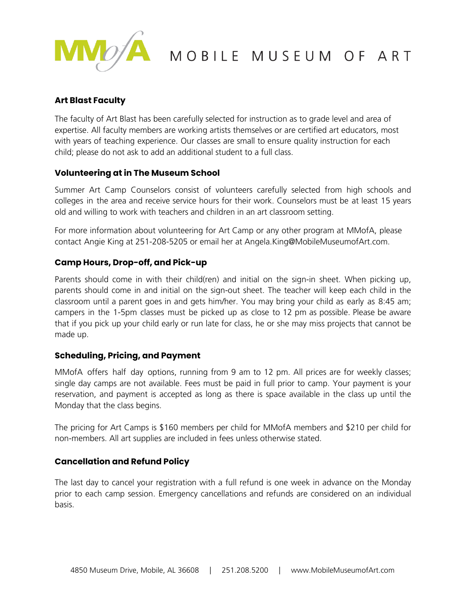

## **Art Blast Faculty**

The faculty of Art Blast has been carefully selected for instruction as to grade level and area of expertise. All faculty members are working artists themselves or are certified art educators, most with years of teaching experience. Our classes are small to ensure quality instruction for each child; please do not ask to add an additional student to a full class.

## **Volunteering at in The Museum School**

Summer Art Camp Counselors consist of volunteers carefully selected from high schools and colleges in the area and receive service hours for their work. Counselors must be at least 15 years old and willing to work with teachers and children in an art classroom setting.

For more information about volunteering for Art Camp or any other program at MMofA, please contact Angie King at 251-208-5205 or email her at Angela.King@MobileMuseumofArt.com.

## **Camp Hours, Drop-off, and Pick-up**

Parents should come in with their child(ren) and initial on the sign-in sheet. When picking up, parents should come in and initial on the sign-out sheet. The teacher will keep each child in the classroom until a parent goes in and gets him/her. You may bring your child as early as 8:45 am; campers in the 1-5pm classes must be picked up as close to 12 pm as possible. Please be aware that if you pick up your child early or run late for class, he or she may miss projects that cannot be made up.

#### **Scheduling, Pricing, and Payment**

MMofA offers half day options, running from 9 am to 12 pm. All prices are for weekly classes; single day camps are not available. Fees must be paid in full prior to camp. Your payment is your reservation, and payment is accepted as long as there is space available in the class up until the Monday that the class begins.

The pricing for Art Camps is \$160 members per child for MMofA members and \$210 per child for non-members. All art supplies are included in fees unless otherwise stated.

## **Cancellation and Refund Policy**

The last day to cancel your registration with a full refund is one week in advance on the Monday prior to each camp session. Emergency cancellations and refunds are considered on an individual basis.